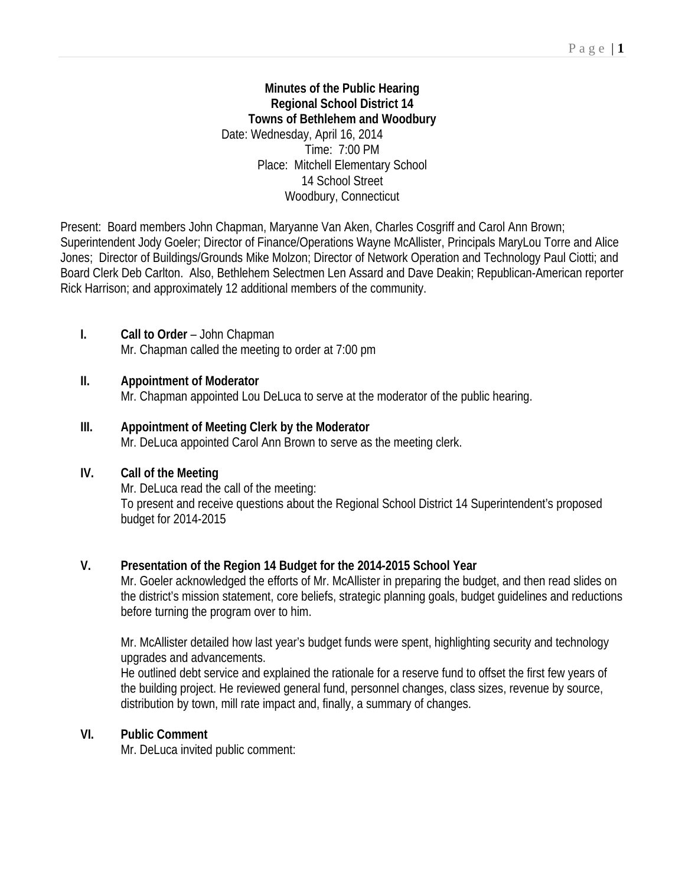#### **Minutes of the Public Hearing Regional School District 14 Towns of Bethlehem and Woodbury**  Date: Wednesday, April 16, 2014 Time: 7:00 PM Place: Mitchell Elementary School 14 School Street Woodbury, Connecticut

Present: Board members John Chapman, Maryanne Van Aken, Charles Cosgriff and Carol Ann Brown; Superintendent Jody Goeler; Director of Finance/Operations Wayne McAllister, Principals MaryLou Torre and Alice Jones; Director of Buildings/Grounds Mike Molzon; Director of Network Operation and Technology Paul Ciotti; and Board Clerk Deb Carlton. Also, Bethlehem Selectmen Len Assard and Dave Deakin; Republican-American reporter Rick Harrison; and approximately 12 additional members of the community.

## **I. Call to Order** – John Chapman

Mr. Chapman called the meeting to order at 7:00 pm

## **II. Appointment of Moderator**

Mr. Chapman appointed Lou DeLuca to serve at the moderator of the public hearing.

## **III. Appointment of Meeting Clerk by the Moderator**

Mr. DeLuca appointed Carol Ann Brown to serve as the meeting clerk.

### **IV. Call of the Meeting**

Mr. DeLuca read the call of the meeting: To present and receive questions about the Regional School District 14 Superintendent's proposed budget for 2014-2015

# **V. Presentation of the Region 14 Budget for the 2014-2015 School Year**

Mr. Goeler acknowledged the efforts of Mr. McAllister in preparing the budget, and then read slides on the district's mission statement, core beliefs, strategic planning goals, budget guidelines and reductions before turning the program over to him.

Mr. McAllister detailed how last year's budget funds were spent, highlighting security and technology upgrades and advancements.

He outlined debt service and explained the rationale for a reserve fund to offset the first few years of the building project. He reviewed general fund, personnel changes, class sizes, revenue by source, distribution by town, mill rate impact and, finally, a summary of changes.

### **VI. Public Comment**

Mr. DeLuca invited public comment: